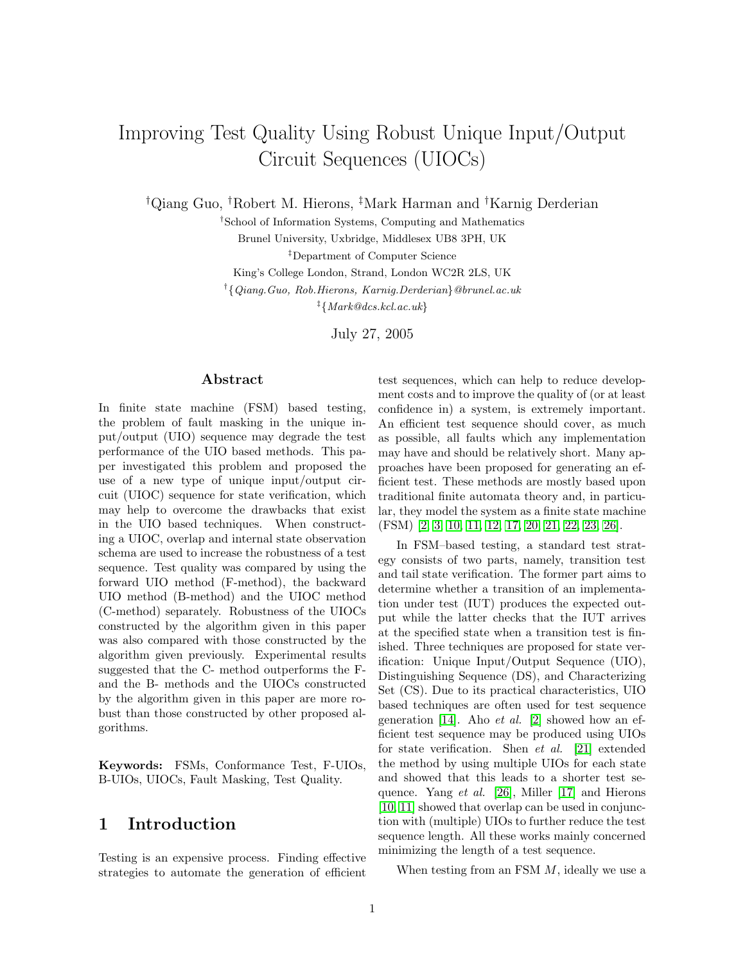# Improving Test Quality Using Robust Unique Input/Output Circuit Sequences (UIOCs)

†Qiang Guo, †Robert M. Hierons, ‡Mark Harman and †Karnig Derderian

†School of Information Systems, Computing and Mathematics

Brunel University, Uxbridge, Middlesex UB8 3PH, UK

‡Department of Computer Science

King's College London, Strand, London WC2R 2LS, UK

† {Qiang.Guo, Rob.Hierons, Karnig.Derderian}@brunel.ac.uk

 $\mathcal{N}$  { Mark@dcs.kcl.ac.uk}

July 27, 2005

#### Abstract

In finite state machine (FSM) based testing, the problem of fault masking in the unique input/output (UIO) sequence may degrade the test performance of the UIO based methods. This paper investigated this problem and proposed the use of a new type of unique input/output circuit (UIOC) sequence for state verification, which may help to overcome the drawbacks that exist in the UIO based techniques. When constructing a UIOC, overlap and internal state observation schema are used to increase the robustness of a test sequence. Test quality was compared by using the forward UIO method (F-method), the backward UIO method (B-method) and the UIOC method (C-method) separately. Robustness of the UIOCs constructed by the algorithm given in this paper was also compared with those constructed by the algorithm given previously. Experimental results suggested that the C- method outperforms the Fand the B- methods and the UIOCs constructed by the algorithm given in this paper are more robust than those constructed by other proposed algorithms.

Keywords: FSMs, Conformance Test, F-UIOs, B-UIOs, UIOCs, Fault Masking, Test Quality.

### 1 Introduction

Testing is an expensive process. Finding effective strategies to automate the generation of efficient test sequences, which can help to reduce development costs and to improve the quality of (or at least confidence in) a system, is extremely important. An efficient test sequence should cover, as much as possible, all faults which any implementation may have and should be relatively short. Many approaches have been proposed for generating an efficient test. These methods are mostly based upon traditional finite automata theory and, in particular, they model the system as a finite state machine (FSM) [\[2,](#page-11-0) [3,](#page-11-1) [10,](#page-12-0) [11,](#page-12-1) [12,](#page-12-2) [17,](#page-12-3) [20,](#page-12-4) [21,](#page-12-5) [22,](#page-12-6) [23,](#page-12-7) [26\]](#page-12-8).

In FSM–based testing, a standard test strategy consists of two parts, namely, transition test and tail state verification. The former part aims to determine whether a transition of an implementation under test (IUT) produces the expected output while the latter checks that the IUT arrives at the specified state when a transition test is finished. Three techniques are proposed for state verification: Unique Input/Output Sequence (UIO), Distinguishing Sequence (DS), and Characterizing Set (CS). Due to its practical characteristics, UIO based techniques are often used for test sequence generation [\[14\]](#page-12-9). Aho *et al.* [\[2\]](#page-11-0) showed how an efficient test sequence may be produced using UIOs for state verification. Shen et al. [\[21\]](#page-12-5) extended the method by using multiple UIOs for each state and showed that this leads to a shorter test sequence. Yang et al. [\[26\]](#page-12-8), Miller [\[17\]](#page-12-3) and Hierons [\[10,](#page-12-0) [11\]](#page-12-1) showed that overlap can be used in conjunction with (multiple) UIOs to further reduce the test sequence length. All these works mainly concerned minimizing the length of a test sequence.

When testing from an FSM  $M$ , ideally we use a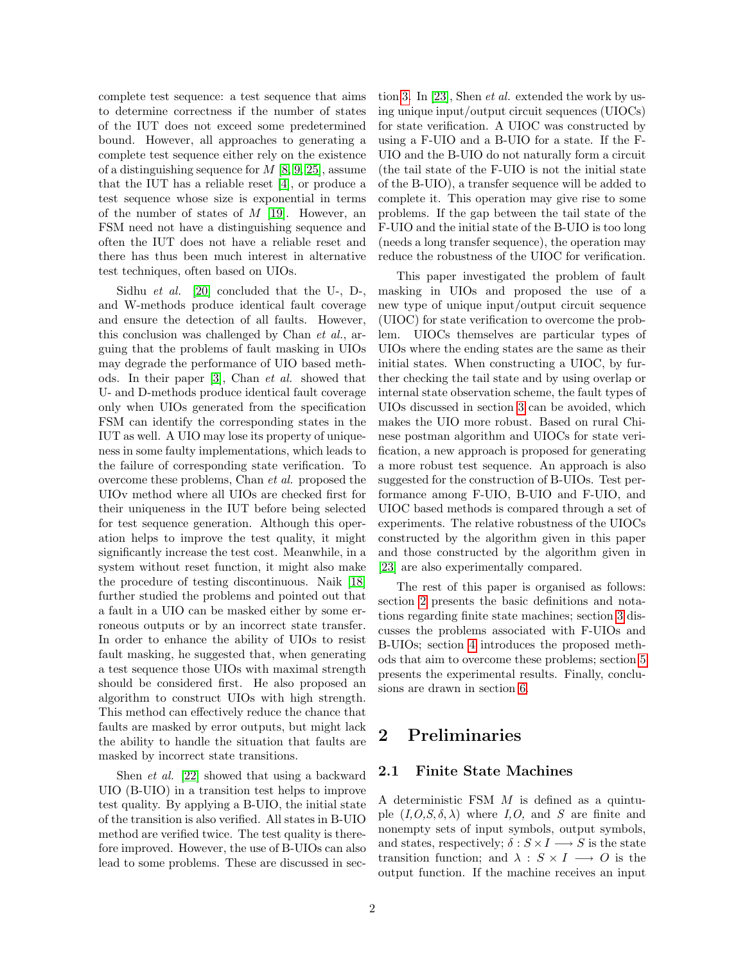complete test sequence: a test sequence that aims to determine correctness if the number of states of the IUT does not exceed some predetermined bound. However, all approaches to generating a complete test sequence either rely on the existence of a distinguishing sequence for  $M$  [\[8,](#page-12-10) [9,](#page-12-11) [25\]](#page-12-12), assume that the IUT has a reliable reset [\[4\]](#page-11-2), or produce a test sequence whose size is exponential in terms of the number of states of  $M$  [\[19\]](#page-12-13). However, an FSM need not have a distinguishing sequence and often the IUT does not have a reliable reset and there has thus been much interest in alternative test techniques, often based on UIOs.

Sidhu et al.  $[20]$  concluded that the U-, D-, and W-methods produce identical fault coverage and ensure the detection of all faults. However, this conclusion was challenged by Chan et al., arguing that the problems of fault masking in UIOs may degrade the performance of UIO based methods. In their paper [\[3\]](#page-11-1), Chan et al. showed that U- and D-methods produce identical fault coverage only when UIOs generated from the specification FSM can identify the corresponding states in the IUT as well. A UIO may lose its property of uniqueness in some faulty implementations, which leads to the failure of corresponding state verification. To overcome these problems, Chan et al. proposed the UIOv method where all UIOs are checked first for their uniqueness in the IUT before being selected for test sequence generation. Although this operation helps to improve the test quality, it might significantly increase the test cost. Meanwhile, in a system without reset function, it might also make the procedure of testing discontinuous. Naik [\[18\]](#page-12-14) further studied the problems and pointed out that a fault in a UIO can be masked either by some erroneous outputs or by an incorrect state transfer. In order to enhance the ability of UIOs to resist fault masking, he suggested that, when generating a test sequence those UIOs with maximal strength should be considered first. He also proposed an algorithm to construct UIOs with high strength. This method can effectively reduce the chance that faults are masked by error outputs, but might lack the ability to handle the situation that faults are masked by incorrect state transitions.

Shen et al. [\[22\]](#page-12-6) showed that using a backward UIO (B-UIO) in a transition test helps to improve test quality. By applying a B-UIO, the initial state of the transition is also verified. All states in B-UIO method are verified twice. The test quality is therefore improved. However, the use of B-UIOs can also lead to some problems. These are discussed in section [3.](#page-3-0) In [\[23\]](#page-12-7), Shen et al. extended the work by using unique input/output circuit sequences (UIOCs) for state verification. A UIOC was constructed by using a F-UIO and a B-UIO for a state. If the F-UIO and the B-UIO do not naturally form a circuit (the tail state of the F-UIO is not the initial state of the B-UIO), a transfer sequence will be added to complete it. This operation may give rise to some problems. If the gap between the tail state of the F-UIO and the initial state of the B-UIO is too long (needs a long transfer sequence), the operation may reduce the robustness of the UIOC for verification.

This paper investigated the problem of fault masking in UIOs and proposed the use of a new type of unique input/output circuit sequence (UIOC) for state verification to overcome the problem. UIOCs themselves are particular types of UIOs where the ending states are the same as their initial states. When constructing a UIOC, by further checking the tail state and by using overlap or internal state observation scheme, the fault types of UIOs discussed in section [3](#page-3-0) can be avoided, which makes the UIO more robust. Based on rural Chinese postman algorithm and UIOCs for state verification, a new approach is proposed for generating a more robust test sequence. An approach is also suggested for the construction of B-UIOs. Test performance among F-UIO, B-UIO and F-UIO, and UIOC based methods is compared through a set of experiments. The relative robustness of the UIOCs constructed by the algorithm given in this paper and those constructed by the algorithm given in [\[23\]](#page-12-7) are also experimentally compared.

The rest of this paper is organised as follows: section [2](#page-1-0) presents the basic definitions and notations regarding finite state machines; section [3](#page-3-0) discusses the problems associated with F-UIOs and B-UIOs; section [4](#page-4-0) introduces the proposed methods that aim to overcome these problems; section [5](#page-8-0) presents the experimental results. Finally, conclusions are drawn in section [6.](#page-11-3)

# <span id="page-1-0"></span>2 Preliminaries

#### 2.1 Finite State Machines

A deterministic FSM M is defined as a quintuple  $(I, O, S, \delta, \lambda)$  where  $I, O$ , and S are finite and nonempty sets of input symbols, output symbols, and states, respectively;  $\delta : S \times I \longrightarrow S$  is the state transition function; and  $\lambda : S \times I \longrightarrow O$  is the output function. If the machine receives an input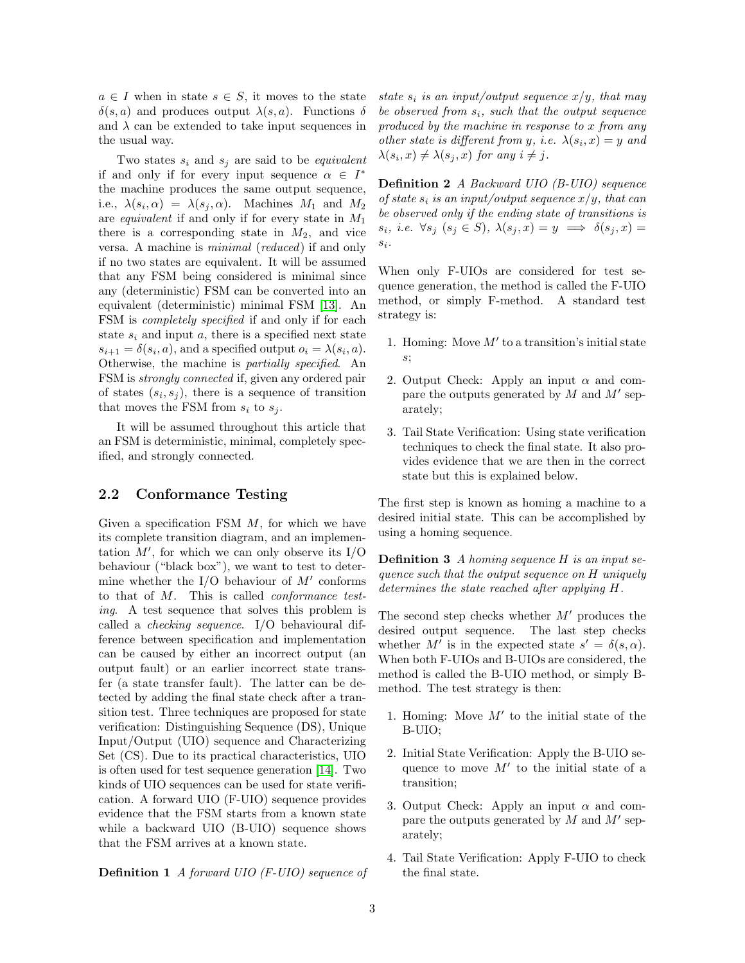$a \in I$  when in state  $s \in S$ , it moves to the state  $\delta(s, a)$  and produces output  $\lambda(s, a)$ . Functions  $\delta$ and  $\lambda$  can be extended to take input sequences in the usual way.

Two states  $s_i$  and  $s_j$  are said to be *equivalent* if and only if for every input sequence  $\alpha \in I^*$ the machine produces the same output sequence, i.e.,  $\lambda(s_i, \alpha) = \lambda(s_j, \alpha)$ . Machines  $M_1$  and  $M_2$ are *equivalent* if and only if for every state in  $M_1$ there is a corresponding state in  $M_2$ , and vice versa. A machine is minimal (reduced) if and only if no two states are equivalent. It will be assumed that any FSM being considered is minimal since any (deterministic) FSM can be converted into an equivalent (deterministic) minimal FSM [\[13\]](#page-12-15). An FSM is *completely specified* if and only if for each state  $s_i$  and input a, there is a specified next state  $s_{i+1} = \delta(s_i, a)$ , and a specified output  $o_i = \lambda(s_i, a)$ . Otherwise, the machine is partially specified. An FSM is strongly connected if, given any ordered pair of states  $(s_i, s_j)$ , there is a sequence of transition that moves the FSM from  $s_i$  to  $s_j$ .

It will be assumed throughout this article that an FSM is deterministic, minimal, completely specified, and strongly connected.

#### 2.2 Conformance Testing

Given a specification FSM  $M$ , for which we have its complete transition diagram, and an implementation  $M'$ , for which we can only observe its I/O behaviour ("black box"), we want to test to determine whether the I/O behaviour of  $M'$  conforms to that of M. This is called conformance testing. A test sequence that solves this problem is called a checking sequence. I/O behavioural difference between specification and implementation can be caused by either an incorrect output (an output fault) or an earlier incorrect state transfer (a state transfer fault). The latter can be detected by adding the final state check after a transition test. Three techniques are proposed for state verification: Distinguishing Sequence (DS), Unique Input/Output (UIO) sequence and Characterizing Set (CS). Due to its practical characteristics, UIO is often used for test sequence generation [\[14\]](#page-12-9). Two kinds of UIO sequences can be used for state verification. A forward UIO (F-UIO) sequence provides evidence that the FSM starts from a known state while a backward UIO (B-UIO) sequence shows that the FSM arrives at a known state.

Definition 1 A forward UIO (F-UIO) sequence of

state  $s_i$  is an input/output sequence  $x/y$ , that may be observed from  $s_i$ , such that the output sequence produced by the machine in response to x from any other state is different from y, i.e.  $\lambda(s_i, x) = y$  and  $\lambda(s_i, x) \neq \lambda(s_j, x)$  for any  $i \neq j$ .

Definition 2 A Backward UIO (B-UIO) sequence of state  $s_i$  is an input/output sequence  $x/y$ , that can be observed only if the ending state of transitions is  $s_i$ , i.e.  $\forall s_j \ (s_j \in S)$ ,  $\lambda(s_j, x) = y \implies \delta(s_j, x) =$  $s_i$ .

When only F-UIOs are considered for test sequence generation, the method is called the F-UIO method, or simply F-method. A standard test strategy is:

- 1. Homing: Move  $M'$  to a transition's initial state s;
- 2. Output Check: Apply an input  $\alpha$  and compare the outputs generated by  $M$  and  $M'$  separately;
- 3. Tail State Verification: Using state verification techniques to check the final state. It also provides evidence that we are then in the correct state but this is explained below.

The first step is known as homing a machine to a desired initial state. This can be accomplished by using a homing sequence.

**Definition 3** A homing sequence  $H$  is an input sequence such that the output sequence on H uniquely determines the state reached after applying H.

The second step checks whether  $M'$  produces the desired output sequence. The last step checks whether M' is in the expected state  $s' = \delta(s, \alpha)$ . When both F-UIOs and B-UIOs are considered, the method is called the B-UIO method, or simply Bmethod. The test strategy is then:

- 1. Homing: Move  $M'$  to the initial state of the B-UIO;
- 2. Initial State Verification: Apply the B-UIO sequence to move  $M'$  to the initial state of a transition;
- 3. Output Check: Apply an input  $\alpha$  and compare the outputs generated by  $M$  and  $M'$  separately;
- 4. Tail State Verification: Apply F-UIO to check the final state.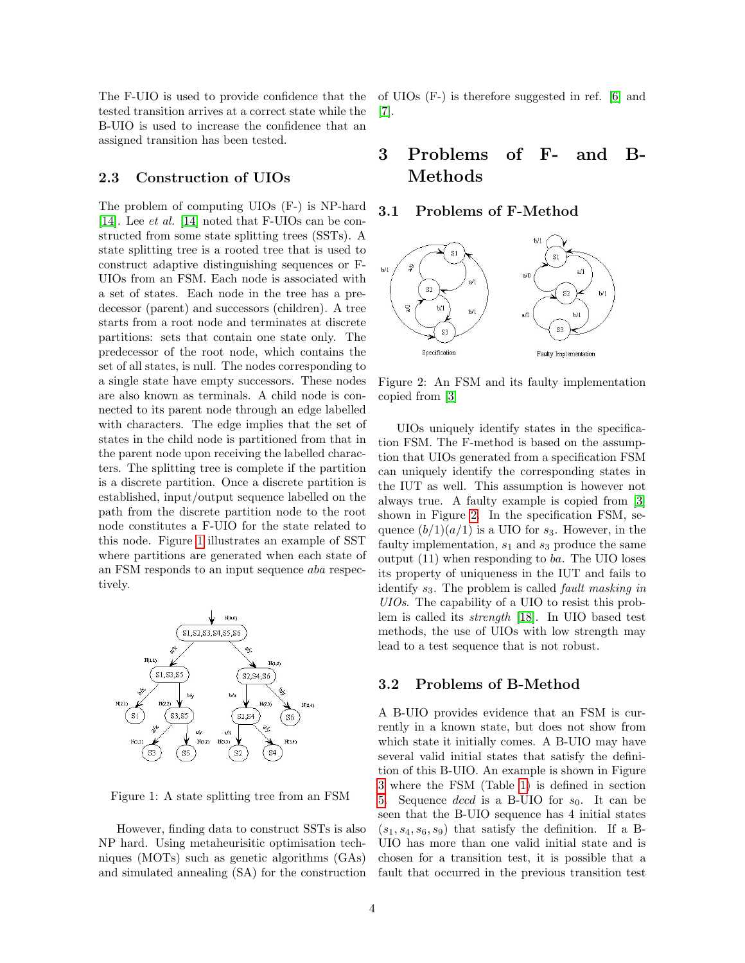The F-UIO is used to provide confidence that the tested transition arrives at a correct state while the B-UIO is used to increase the confidence that an assigned transition has been tested.

#### 2.3 Construction of UIOs

The problem of computing UIOs (F-) is NP-hard [\[14\]](#page-12-9). Lee et al. [\[14\]](#page-12-9) noted that F-UIOs can be constructed from some state splitting trees (SSTs). A state splitting tree is a rooted tree that is used to construct adaptive distinguishing sequences or F-UIOs from an FSM. Each node is associated with a set of states. Each node in the tree has a predecessor (parent) and successors (children). A tree starts from a root node and terminates at discrete partitions: sets that contain one state only. The predecessor of the root node, which contains the set of all states, is null. The nodes corresponding to a single state have empty successors. These nodes are also known as terminals. A child node is connected to its parent node through an edge labelled with characters. The edge implies that the set of states in the child node is partitioned from that in the parent node upon receiving the labelled characters. The splitting tree is complete if the partition is a discrete partition. Once a discrete partition is established, input/output sequence labelled on the path from the discrete partition node to the root node constitutes a F-UIO for the state related to this node. Figure [1](#page-3-1) illustrates an example of SST where partitions are generated when each state of an FSM responds to an input sequence aba respectively.



<span id="page-3-1"></span>Figure 1: A state splitting tree from an FSM

However, finding data to construct SSTs is also NP hard. Using metaheurisitic optimisation techniques (MOTs) such as genetic algorithms (GAs) and simulated annealing (SA) for the construction of UIOs (F-) is therefore suggested in ref. [\[6\]](#page-11-4) and [\[7\]](#page-12-16).

# <span id="page-3-0"></span>3 Problems of F- and B-Methods

#### 3.1 Problems of F-Method



<span id="page-3-2"></span>Figure 2: An FSM and its faulty implementation copied from [\[3\]](#page-11-1)

UIOs uniquely identify states in the specification FSM. The F-method is based on the assumption that UIOs generated from a specification FSM can uniquely identify the corresponding states in the IUT as well. This assumption is however not always true. A faulty example is copied from [\[3\]](#page-11-1) shown in Figure [2.](#page-3-2) In the specification FSM, sequence  $(b/1)(a/1)$  is a UIO for  $s_3$ . However, in the faulty implementation,  $s_1$  and  $s_3$  produce the same output  $(11)$  when responding to ba. The UIO loses its property of uniqueness in the IUT and fails to identify  $s_3$ . The problem is called *fault masking in* UIOs. The capability of a UIO to resist this problem is called its strength [\[18\]](#page-12-14). In UIO based test methods, the use of UIOs with low strength may lead to a test sequence that is not robust.

#### 3.2 Problems of B-Method

A B-UIO provides evidence that an FSM is currently in a known state, but does not show from which state it initially comes. A B-UIO may have several valid initial states that satisfy the definition of this B-UIO. An example is shown in Figure [3](#page-4-1) where the FSM (Table [1\)](#page-8-1) is defined in section [5.](#page-8-0) Sequence  $dccd$  is a B-UIO for  $s_0$ . It can be seen that the B-UIO sequence has 4 initial states  $(s_1, s_4, s_6, s_9)$  that satisfy the definition. If a B-UIO has more than one valid initial state and is chosen for a transition test, it is possible that a fault that occurred in the previous transition test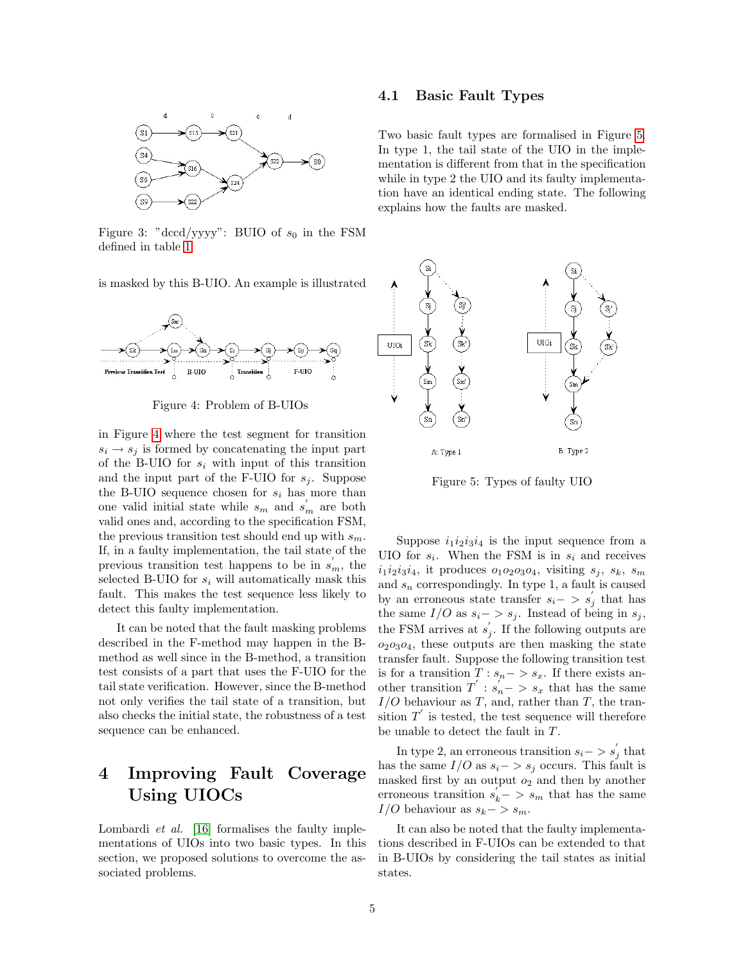

<span id="page-4-1"></span>Figure 3: "dccd/yyyy": BUIO of  $s_0$  in the FSM defined in table [1](#page-8-1)

is masked by this B-UIO. An example is illustrated



<span id="page-4-2"></span>Figure 4: Problem of B-UIOs

in Figure [4](#page-4-2) where the test segment for transition  $s_i \rightarrow s_j$  is formed by concatenating the input part of the B-UIO for  $s_i$  with input of this transition and the input part of the F-UIO for  $s_i$ . Suppose the B-UIO sequence chosen for  $s_i$  has more than one valid initial state while  $s_m$  and  $s'_m$  are both valid ones and, according to the specification FSM, the previous transition test should end up with  $s_m$ . If, in a faulty implementation, the tail state of the previous transition test happens to be in  $s'_m$ , the selected B-UIO for  $s_i$  will automatically mask this fault. This makes the test sequence less likely to detect this faulty implementation.

It can be noted that the fault masking problems described in the F-method may happen in the Bmethod as well since in the B-method, a transition test consists of a part that uses the F-UIO for the tail state verification. However, since the B-method not only verifies the tail state of a transition, but also checks the initial state, the robustness of a test sequence can be enhanced.

# <span id="page-4-0"></span>4 Improving Fault Coverage Using UIOCs

Lombardi et al. [\[16\]](#page-12-17) formalises the faulty implementations of UIOs into two basic types. In this section, we proposed solutions to overcome the associated problems.

#### 4.1 Basic Fault Types

Two basic fault types are formalised in Figure [5.](#page-4-3) In type 1, the tail state of the UIO in the implementation is different from that in the specification while in type 2 the UIO and its faulty implementation have an identical ending state. The following explains how the faults are masked.



<span id="page-4-3"></span>Figure 5: Types of faulty UIO

Suppose  $i_1i_2i_3i_4$  is the input sequence from a UIO for  $s_i$ . When the FSM is in  $s_i$  and receives  $i_1i_2i_3i_4$ , it produces  $o_1o_2o_3o_4$ , visiting  $s_j$ ,  $s_k$ ,  $s_m$ and  $s_n$  correspondingly. In type 1, a fault is caused by an erroneous state transfer  $s_i - > s'_j$  that has the same  $I/O$  as  $s_i->s_j$ . Instead of being in  $s_j$ , the FSM arrives at  $s'_{j}$ . If the following outputs are  $o_2o_3o_4$ , these outputs are then masking the state transfer fault. Suppose the following transition test is for a transition  $T : s_n \to s_x$ . If there exists another transition  $T': s_n^{\prime\prime} \rightarrow s_x$  that has the same  $I/O$  behaviour as T, and, rather than T, the transition  $T'$  is tested, the test sequence will therefore be unable to detect the fault in T.

In type 2, an erroneous transition  $s_i - \frac{s'}{j}$  that has the same  $I/O$  as  $s_i$  − >  $s_j$  occurs. This fault is masked first by an output  $o_2$  and then by another erroneous transition  $s_k^{\prime -} > s_m$  that has the same I/O behaviour as  $s_k - > s_m$ .

It can also be noted that the faulty implementations described in F-UIOs can be extended to that in B-UIOs by considering the tail states as initial states.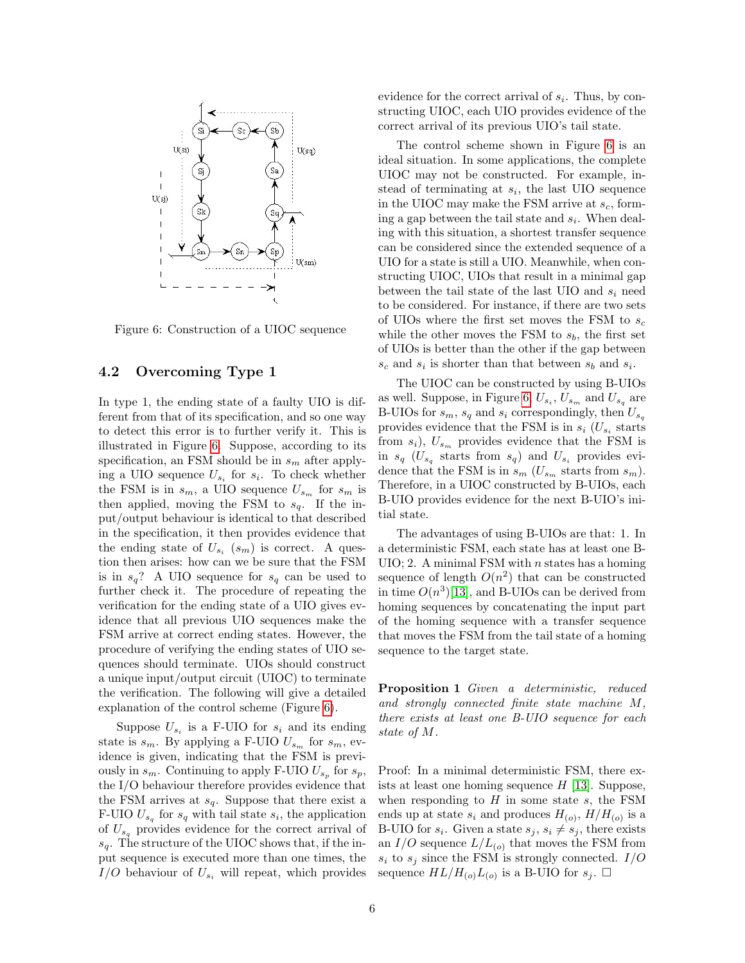

<span id="page-5-0"></span>Figure 6: Construction of a UIOC sequence

#### 4.2 Overcoming Type 1

In type 1, the ending state of a faulty UIO is different from that of its specification, and so one way to detect this error is to further verify it. This is illustrated in Figure [6.](#page-5-0) Suppose, according to its specification, an FSM should be in  $s_m$  after applying a UIO sequence  $U_{s_i}$  for  $s_i$ . To check whether the FSM is in  $s_m$ , a UIO sequence  $U_{s_m}$  for  $s_m$  is then applied, moving the FSM to  $s_q$ . If the input/output behaviour is identical to that described in the specification, it then provides evidence that the ending state of  $U_{s_i}$  ( $s_m$ ) is correct. A question then arises: how can we be sure that the FSM is in  $s_q$ ? A UIO sequence for  $s_q$  can be used to further check it. The procedure of repeating the verification for the ending state of a UIO gives evidence that all previous UIO sequences make the FSM arrive at correct ending states. However, the procedure of verifying the ending states of UIO sequences should terminate. UIOs should construct a unique input/output circuit (UIOC) to terminate the verification. The following will give a detailed explanation of the control scheme (Figure [6\)](#page-5-0).

Suppose  $U_{s_i}$  is a F-UIO for  $s_i$  and its ending state is  $s_m$ . By applying a F-UIO  $U_{s_m}$  for  $s_m$ , evidence is given, indicating that the FSM is previously in  $s_m$ . Continuing to apply F-UIO  $U_{s_p}$  for  $s_p$ , the I/O behaviour therefore provides evidence that the FSM arrives at  $s_q$ . Suppose that there exist a F-UIO  $U_{s_q}$  for  $s_q$  with tail state  $s_i$ , the application of  $U_{s_q}$  provides evidence for the correct arrival of  $s_q$ . The structure of the UIOC shows that, if the input sequence is executed more than one times, the  $I/O$  behaviour of  $U_{s_i}$  will repeat, which provides

evidence for the correct arrival of  $s_i$ . Thus, by constructing UIOC, each UIO provides evidence of the correct arrival of its previous UIO's tail state.

The control scheme shown in Figure [6](#page-5-0) is an ideal situation. In some applications, the complete UIOC may not be constructed. For example, instead of terminating at  $s_i$ , the last UIO sequence in the UIOC may make the FSM arrive at  $s_c$ , forming a gap between the tail state and  $s_i$ . When dealing with this situation, a shortest transfer sequence can be considered since the extended sequence of a UIO for a state is still a UIO. Meanwhile, when constructing UIOC, UIOs that result in a minimal gap between the tail state of the last UIO and  $s_i$  need to be considered. For instance, if there are two sets of UIOs where the first set moves the FSM to  $s_c$ while the other moves the FSM to  $s_b$ , the first set of UIOs is better than the other if the gap between  $s_c$  and  $s_i$  is shorter than that between  $s_b$  and  $s_i$ .

The UIOC can be constructed by using B-UIOs as well. Suppose, in Figure [6,](#page-5-0)  $U_{s_i}$ ,  $U_{s_m}$  and  $U_{s_q}$  are B-UIOs for  $s_m$ ,  $s_q$  and  $s_i$  correspondingly, then  $U_{s_q}$ provides evidence that the FSM is in  $s_i$  ( $U_{s_i}$  starts from  $s_i$ ),  $U_{s_m}$  provides evidence that the FSM is in  $s_q$  ( $U_{s_q}$  starts from  $s_q$ ) and  $U_{s_i}$  provides evidence that the FSM is in  $s_m$  ( $U_{s_m}$  starts from  $s_m$ ). Therefore, in a UIOC constructed by B-UIOs, each B-UIO provides evidence for the next B-UIO's initial state.

The advantages of using B-UIOs are that: 1. In a deterministic FSM, each state has at least one B-UIO; 2. A minimal FSM with  $n$  states has a homing sequence of length  $O(n^2)$  that can be constructed in time  $O(n^3)$ [\[13\]](#page-12-15), and B-UIOs can be derived from homing sequences by concatenating the input part of the homing sequence with a transfer sequence that moves the FSM from the tail state of a homing sequence to the target state.

Proposition 1 Given a deterministic, reduced and strongly connected finite state machine M, there exists at least one B-UIO sequence for each state of M.

Proof: In a minimal deterministic FSM, there exists at least one homing sequence  $H$  [\[13\]](#page-12-15). Suppose, when responding to  $H$  in some state  $s$ , the FSM ends up at state  $s_i$  and produces  $H_{(o)}$ ,  $H/H_{(o)}$  is a B-UIO for  $s_i$ . Given a state  $s_j$ ,  $s_i \neq s_j$ , there exists an  $I/O$  sequence  $L/L_{(o)}$  that moves the FSM from  $s_i$  to  $s_j$  since the FSM is strongly connected.  $I/O$ sequence  $HL/H_{(o)}L_{(o)}$  is a B-UIO for  $s_j$ .  $\Box$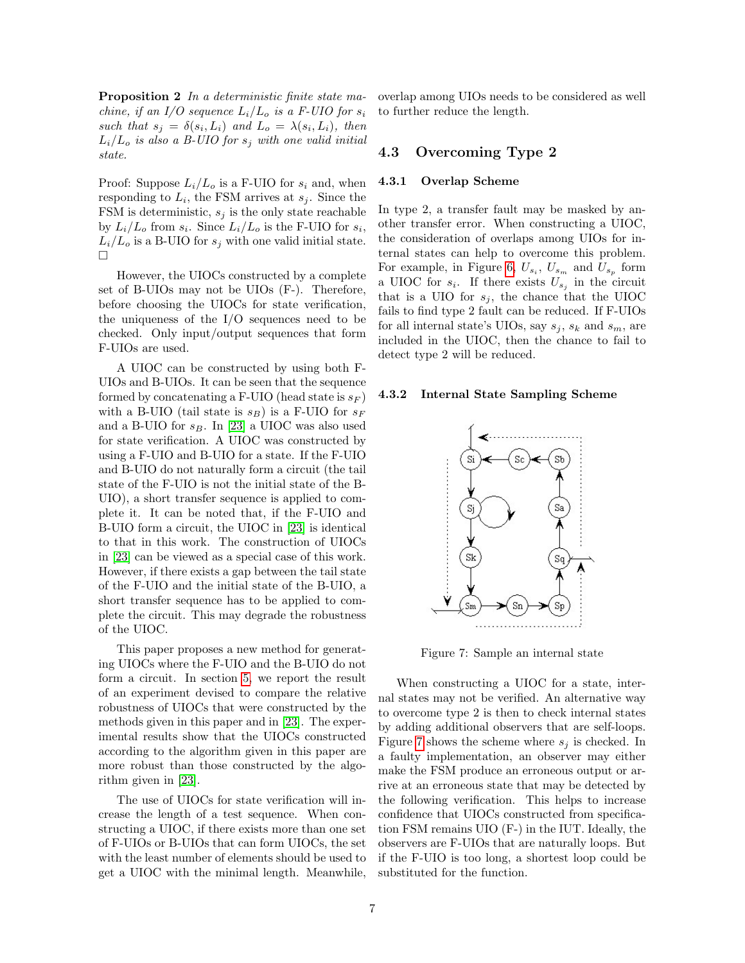Proposition 2 In a deterministic finite state machine, if an I/O sequence  $L_i/L_o$  is a F-UIO for  $s_i$ such that  $s_j = \delta(s_i, L_i)$  and  $L_o = \lambda(s_i, L_i)$ , then  $L_i/L_o$  is also a B-UIO for  $s_j$  with one valid initial state.

Proof: Suppose  $L_i/L_o$  is a F-UIO for  $s_i$  and, when responding to  $L_i$ , the FSM arrives at  $s_j$ . Since the FSM is deterministic,  $s_j$  is the only state reachable by  $L_i/L_o$  from  $s_i$ . Since  $L_i/L_o$  is the F-UIO for  $s_i$ ,  $L_i/L_o$  is a B-UIO for  $s_j$  with one valid initial state.  $\Box$ 

However, the UIOCs constructed by a complete set of B-UIOs may not be UIOs (F-). Therefore, before choosing the UIOCs for state verification, the uniqueness of the I/O sequences need to be checked. Only input/output sequences that form F-UIOs are used.

A UIOC can be constructed by using both F-UIOs and B-UIOs. It can be seen that the sequence formed by concatenating a F-UIO (head state is  $s_F$ ) with a B-UIO (tail state is  $s_B$ ) is a F-UIO for  $s_F$ and a B-UIO for  $s_B$ . In [\[23\]](#page-12-7) a UIOC was also used for state verification. A UIOC was constructed by using a F-UIO and B-UIO for a state. If the F-UIO and B-UIO do not naturally form a circuit (the tail state of the F-UIO is not the initial state of the B-UIO), a short transfer sequence is applied to complete it. It can be noted that, if the F-UIO and B-UIO form a circuit, the UIOC in [\[23\]](#page-12-7) is identical to that in this work. The construction of UIOCs in [\[23\]](#page-12-7) can be viewed as a special case of this work. However, if there exists a gap between the tail state of the F-UIO and the initial state of the B-UIO, a short transfer sequence has to be applied to complete the circuit. This may degrade the robustness of the UIOC.

This paper proposes a new method for generating UIOCs where the F-UIO and the B-UIO do not form a circuit. In section [5,](#page-8-0) we report the result of an experiment devised to compare the relative robustness of UIOCs that were constructed by the methods given in this paper and in [\[23\]](#page-12-7). The experimental results show that the UIOCs constructed according to the algorithm given in this paper are more robust than those constructed by the algorithm given in [\[23\]](#page-12-7).

The use of UIOCs for state verification will increase the length of a test sequence. When constructing a UIOC, if there exists more than one set of F-UIOs or B-UIOs that can form UIOCs, the set with the least number of elements should be used to get a UIOC with the minimal length. Meanwhile,

overlap among UIOs needs to be considered as well to further reduce the length.

#### 4.3 Overcoming Type 2

#### 4.3.1 Overlap Scheme

In type 2, a transfer fault may be masked by another transfer error. When constructing a UIOC, the consideration of overlaps among UIOs for internal states can help to overcome this problem. For example, in Figure [6,](#page-5-0)  $U_{s_i}$ ,  $U_{s_m}$  and  $U_{s_p}$  form a UIOC for  $s_i$ . If there exists  $U_{s_j}$  in the circuit that is a UIO for  $s_i$ , the chance that the UIOC fails to find type 2 fault can be reduced. If F-UIOs for all internal state's UIOs, say  $s_i$ ,  $s_k$  and  $s_m$ , are included in the UIOC, then the chance to fail to detect type 2 will be reduced.

#### 4.3.2 Internal State Sampling Scheme



<span id="page-6-0"></span>Figure 7: Sample an internal state

When constructing a UIOC for a state, internal states may not be verified. An alternative way to overcome type 2 is then to check internal states by adding additional observers that are self-loops. Figure [7](#page-6-0) shows the scheme where  $s_j$  is checked. In a faulty implementation, an observer may either make the FSM produce an erroneous output or arrive at an erroneous state that may be detected by the following verification. This helps to increase confidence that UIOCs constructed from specification FSM remains UIO (F-) in the IUT. Ideally, the observers are F-UIOs that are naturally loops. But if the F-UIO is too long, a shortest loop could be substituted for the function.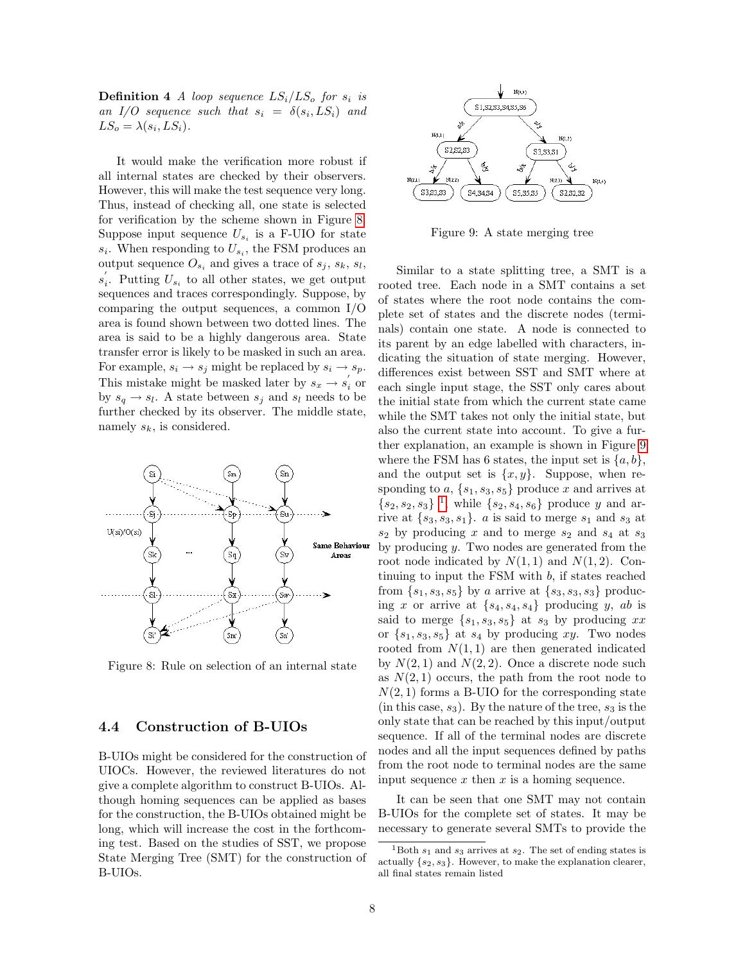**Definition 4** A loop sequence  $LS_i/LS_o$  for  $s_i$  is an I/O sequence such that  $s_i = \delta(s_i, LS_i)$  and  $LS_o = \lambda(s_i, LS_i).$ 

It would make the verification more robust if all internal states are checked by their observers. However, this will make the test sequence very long. Thus, instead of checking all, one state is selected for verification by the scheme shown in Figure [8.](#page-7-0) Suppose input sequence  $U_{s_i}$  is a F-UIO for state  $s_i$ . When responding to  $U_{s_i}$ , the FSM produces an output sequence  $O_{s_i}$  and gives a trace of  $s_j$ ,  $s_k$ ,  $s_l$ ,  $s_i'$ . Putting  $U_{s_i}$  to all other states, we get output sequences and traces correspondingly. Suppose, by comparing the output sequences, a common I/O area is found shown between two dotted lines. The area is said to be a highly dangerous area. State transfer error is likely to be masked in such an area. For example,  $s_i \rightarrow s_j$  might be replaced by  $s_i \rightarrow s_p$ . This mistake might be masked later by  $s_x \rightarrow s'_i$  or by  $s_q \rightarrow s_l$ . A state between  $s_j$  and  $s_l$  needs to be further checked by its observer. The middle state, namely  $s_k$ , is considered.



<span id="page-7-0"></span>Figure 8: Rule on selection of an internal state

#### 4.4 Construction of B-UIOs

B-UIOs might be considered for the construction of UIOCs. However, the reviewed literatures do not give a complete algorithm to construct B-UIOs. Although homing sequences can be applied as bases for the construction, the B-UIOs obtained might be long, which will increase the cost in the forthcoming test. Based on the studies of SST, we propose State Merging Tree (SMT) for the construction of B-UIOs.



<span id="page-7-1"></span>Figure 9: A state merging tree

Similar to a state splitting tree, a SMT is a rooted tree. Each node in a SMT contains a set of states where the root node contains the complete set of states and the discrete nodes (terminals) contain one state. A node is connected to its parent by an edge labelled with characters, indicating the situation of state merging. However, differences exist between SST and SMT where at each single input stage, the SST only cares about the initial state from which the current state came while the SMT takes not only the initial state, but also the current state into account. To give a further explanation, an example is shown in Figure [9](#page-7-1) where the FSM has 6 states, the input set is  $\{a, b\}$ , and the output set is  $\{x, y\}$ . Suppose, when responding to a,  $\{s_1, s_3, s_5\}$  produce x and arrives at  ${s_2, s_2, s_3}$ <sup>[1](#page-7-2)</sup>, while  ${s_2, s_4, s_6}$  produce y and arrive at  $\{s_3, s_3, s_1\}$ . *a* is said to merge  $s_1$  and  $s_3$  at  $s_2$  by producing x and to merge  $s_2$  and  $s_4$  at  $s_3$ by producing y. Two nodes are generated from the root node indicated by  $N(1, 1)$  and  $N(1, 2)$ . Continuing to input the FSM with b, if states reached from  $\{s_1, s_3, s_5\}$  by a arrive at  $\{s_3, s_3, s_3\}$  producing x or arrive at  $\{s_4, s_4, s_4\}$  producing y, ab is said to merge  $\{s_1, s_3, s_5\}$  at  $s_3$  by producing xx or  $\{s_1, s_3, s_5\}$  at  $s_4$  by producing xy. Two nodes rooted from  $N(1, 1)$  are then generated indicated by  $N(2, 1)$  and  $N(2, 2)$ . Once a discrete node such as  $N(2, 1)$  occurs, the path from the root node to  $N(2, 1)$  forms a B-UIO for the corresponding state (in this case,  $s_3$ ). By the nature of the tree,  $s_3$  is the only state that can be reached by this input/output sequence. If all of the terminal nodes are discrete nodes and all the input sequences defined by paths from the root node to terminal nodes are the same input sequence  $x$  then  $x$  is a homing sequence.

It can be seen that one SMT may not contain B-UIOs for the complete set of states. It may be necessary to generate several SMTs to provide the

<span id="page-7-2"></span><sup>&</sup>lt;sup>1</sup>Both  $s_1$  and  $s_3$  arrives at  $s_2$ . The set of ending states is actually  $\{s_2, s_3\}$ . However, to make the explanation clearer, all final states remain listed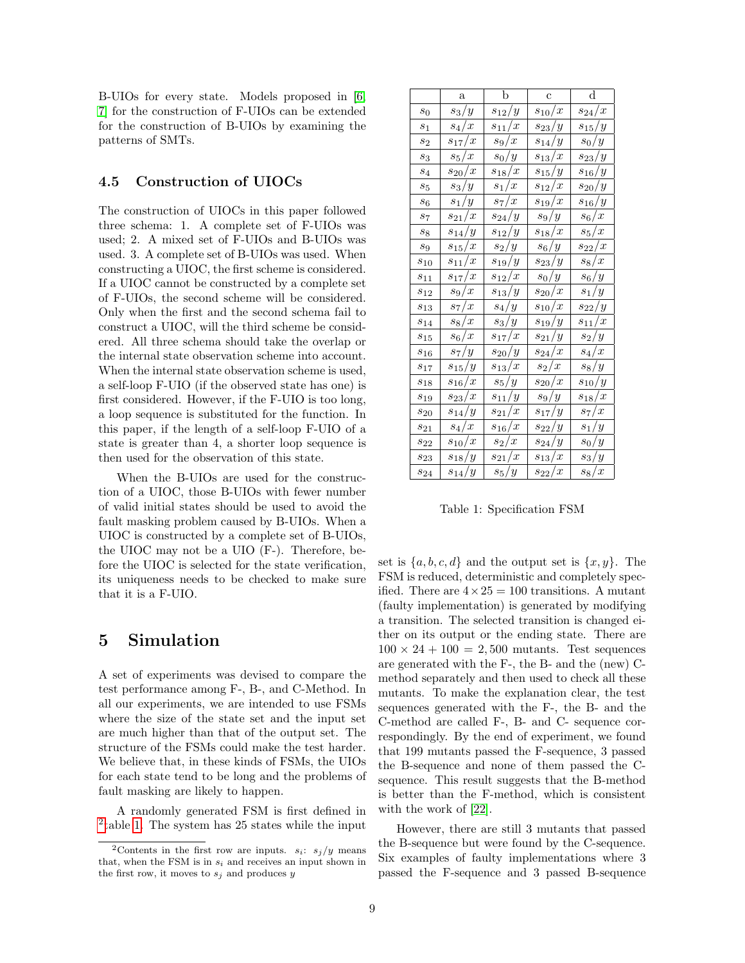B-UIOs for every state. Models proposed in [\[6,](#page-11-4) [7\]](#page-12-16) for the construction of F-UIOs can be extended for the construction of B-UIOs by examining the patterns of SMTs.

#### 4.5 Construction of UIOCs

The construction of UIOCs in this paper followed three schema: 1. A complete set of F-UIOs was used; 2. A mixed set of F-UIOs and B-UIOs was used. 3. A complete set of B-UIOs was used. When constructing a UIOC, the first scheme is considered. If a UIOC cannot be constructed by a complete set of F-UIOs, the second scheme will be considered. Only when the first and the second schema fail to construct a UIOC, will the third scheme be considered. All three schema should take the overlap or the internal state observation scheme into account. When the internal state observation scheme is used, a self-loop F-UIO (if the observed state has one) is first considered. However, if the F-UIO is too long, a loop sequence is substituted for the function. In this paper, if the length of a self-loop F-UIO of a state is greater than 4, a shorter loop sequence is then used for the observation of this state.

When the B-UIOs are used for the construction of a UIOC, those B-UIOs with fewer number of valid initial states should be used to avoid the fault masking problem caused by B-UIOs. When a UIOC is constructed by a complete set of B-UIOs, the UIOC may not be a UIO (F-). Therefore, before the UIOC is selected for the state verification, its uniqueness needs to be checked to make sure that it is a F-UIO.

## <span id="page-8-0"></span>5 Simulation

A set of experiments was devised to compare the test performance among F-, B-, and C-Method. In all our experiments, we are intended to use FSMs where the size of the state set and the input set are much higher than that of the output set. The structure of the FSMs could make the test harder. We believe that, in these kinds of FSMs, the UIOs for each state tend to be long and the problems of fault masking are likely to happen.

A randomly generated FSM is first defined in <sup>[2](#page-8-2)</sup>table [1.](#page-8-1) The system has 25 states while the input

|                  | a                | b                | $\overline{c}$   | d                |
|------------------|------------------|------------------|------------------|------------------|
| $s_0$            | $s_3$            | $\overline{y}$   | $\boldsymbol{x}$ | $s_{24}$         |
|                  | $\mathcal{Y}$    | $s_{12}$         | $s_{10}$         | $\boldsymbol{x}$ |
| $s_1$            | $s_4$            | $\boldsymbol{x}$ | $\boldsymbol{y}$ | Y                |
|                  | $\boldsymbol{x}$ | $s_{11}$         | $s_{23}$         | $s_{15}$         |
| $s_2$            | $s_{17}$         | $s_{9}$          | $\overline{y}$   | $s_{0}$          |
|                  | $\boldsymbol{x}$ | $\boldsymbol{x}$ | $s_{14}$         | $\boldsymbol{y}$ |
| $s_3$            | $s_{5}$          | $s_{0}$          | $\boldsymbol{x}$ | $s_{23}$         |
|                  | $\boldsymbol{x}$ | $\mathcal{Y}$    | $s_{13}$         | Y                |
| $s_4$            | $\boldsymbol{x}$ | $s_{18}$         | $s_{15}$         | $s_{16}$         |
|                  | $s_{20}$         | $\boldsymbol{x}$ | у                | Y                |
| $s_5$            | $s_3$            | $s_1$            | $s_{12}$         | $s_{20}$         |
|                  | Y                | $\boldsymbol{x}$ | $\boldsymbol{x}$ | Y                |
| $s_6$            | $s_1$            | $s_7$            | $\boldsymbol{x}$ | $s_{16}$         |
|                  | Y                | $\boldsymbol{x}$ | $s_{19}$         | Y                |
| $s_7$            | $s_{21}$         | $s_{24}$         | $s_{9}$          | $s_{6}$          |
|                  | $\boldsymbol{x}$ | $\boldsymbol{y}$ | y                | $_{x}$           |
| $\mathfrak{s}_8$ | $\overline{y}$   | $s_{12}$         | $\boldsymbol{x}$ | $s_{5}$          |
|                  | $s_{14}$         | $\boldsymbol{y}$ | $s_{18}$         | $\boldsymbol{x}$ |
| $\mathfrak{s}_9$ | $\boldsymbol{x}$ | $s_2$            | $s_{6}$          | $s_{22}$         |
|                  | $s_{15}$         | $\boldsymbol{y}$ | $\boldsymbol{y}$ | $\boldsymbol{x}$ |
| $s_{10}$         | $\boldsymbol{x}$ | $s_{19}$         | $s_{23}$         | $s_{8}$          |
|                  | $s_{11}$         | $\boldsymbol{y}$ | $\boldsymbol{y}$ | $\boldsymbol{x}$ |
| $s_{11}$         | $s_{17}$         | $s_{12}$         | $s_{0}$          | $s_{6}$          |
|                  | $\boldsymbol{x}$ | $\boldsymbol{x}$ | $\mathcal{Y}$    | $\boldsymbol{y}$ |
| $s_{12}$         | $s_{9}$          | $s_{13}$         | $s_{20}$         | $s_{1}$          |
|                  | $\boldsymbol{x}$ | $\overline{y}$   | $\boldsymbol{x}$ | $\overline{y}$   |
| $s_{13}$         | $s_{7}$          | $s_{4}$          | $\boldsymbol{x}$ | $\boldsymbol{y}$ |
|                  | $\boldsymbol{x}$ | $\boldsymbol{y}$ | $s_{10}$         | $s_{22}$         |
| $s_{14}$         | $s_8$            | $s_{3}$          | $s_{19}$         | $\boldsymbol{x}$ |
|                  | $\boldsymbol{x}$ | $\boldsymbol{y}$ | $\boldsymbol{y}$ | $s_{11}$         |
| $s_{15}$         | $s_{6}$          | $\boldsymbol{x}$ | $\boldsymbol{y}$ | $s_2$            |
|                  | $\boldsymbol{x}$ | $s_{17}$         | $s_{21}$         | $\boldsymbol{y}$ |
| $s_{16}$         | $s_{7}$          | $s_{20}$         | $s_{24}$         | $s_4$            |
|                  | Y                | $\boldsymbol{y}$ | $\boldsymbol{x}$ | $\boldsymbol{x}$ |
| $s_{17}$         | $s_{15}$         | $\boldsymbol{x}$ | $s_2$            | $s_{8}$          |
|                  | $\boldsymbol{y}$ | $s_{13}$         | $\boldsymbol{x}$ | $\boldsymbol{y}$ |
| $s_{18}$         | $\boldsymbol{x}$ | $s_5$            | $s_{20}$         | $s_{10}$         |
|                  | $s_{16}$         | Y                | $\boldsymbol{x}$ | ' Y              |
| $s_{19}$         | $\boldsymbol{x}$ | $\boldsymbol{y}$ | $s_{9}$          | $\boldsymbol{x}$ |
|                  | $s_{23}$         | $s_{11}$         | y                | $s_{18}$         |
| $\sqrt{s_{20}}$  | $\mathcal{Y}$    | $\boldsymbol{x}$ | $\boldsymbol{y}$ | $s_7$            |
|                  | $s_{14}$         | $s_{21}$         | $s_{17}$         | $\boldsymbol{x}$ |
| $s_{21}$         | $s_4$            | $\boldsymbol{x}$ | $s_{22}$         | $\sqrt{s_{1}}$   |
|                  | $\boldsymbol{x}$ | $s_{16}$         | $\boldsymbol{y}$ | $\boldsymbol{y}$ |
| $s_{22}$         | $\boldsymbol{x}$ | $s_2$            | $s_{24}$         | $s_0$            |
|                  | $s_{10}$         | $\boldsymbol{x}$ | $\boldsymbol{y}$ | $\boldsymbol{y}$ |
| $s_{23}$         | Y                | $\boldsymbol{x}$ | $s_{13}$         | $s_3$            |
|                  | $s_{18}$         | $s_{21}$         | $_{x}$           | Y                |
| $s_{24}$         | $s_{14}$ /       | $s_{5}$          | $s_{22}$         | $s_{8}$          |
|                  | $\boldsymbol{y}$ | $\boldsymbol{y}$ | $\boldsymbol{x}$ | $\boldsymbol{x}$ |

<span id="page-8-1"></span>Table 1: Specification FSM

set is  $\{a, b, c, d\}$  and the output set is  $\{x, y\}$ . The FSM is reduced, deterministic and completely specified. There are  $4 \times 25 = 100$  transitions. A mutant (faulty implementation) is generated by modifying a transition. The selected transition is changed either on its output or the ending state. There are  $100 \times 24 + 100 = 2,500$  mutants. Test sequences are generated with the F-, the B- and the (new) Cmethod separately and then used to check all these mutants. To make the explanation clear, the test sequences generated with the F-, the B- and the C-method are called F-, B- and C- sequence correspondingly. By the end of experiment, we found that 199 mutants passed the F-sequence, 3 passed the B-sequence and none of them passed the Csequence. This result suggests that the B-method is better than the F-method, which is consistent with the work of [\[22\]](#page-12-6).

However, there are still 3 mutants that passed the B-sequence but were found by the C-sequence. Six examples of faulty implementations where 3 passed the F-sequence and 3 passed B-sequence

<span id="page-8-2"></span><sup>&</sup>lt;sup>2</sup>Contents in the first row are inputs.  $s_i$ :  $s_j/y$  means that, when the FSM is in  $s_i$  and receives an input shown in the first row, it moves to  $s_i$  and produces  $y$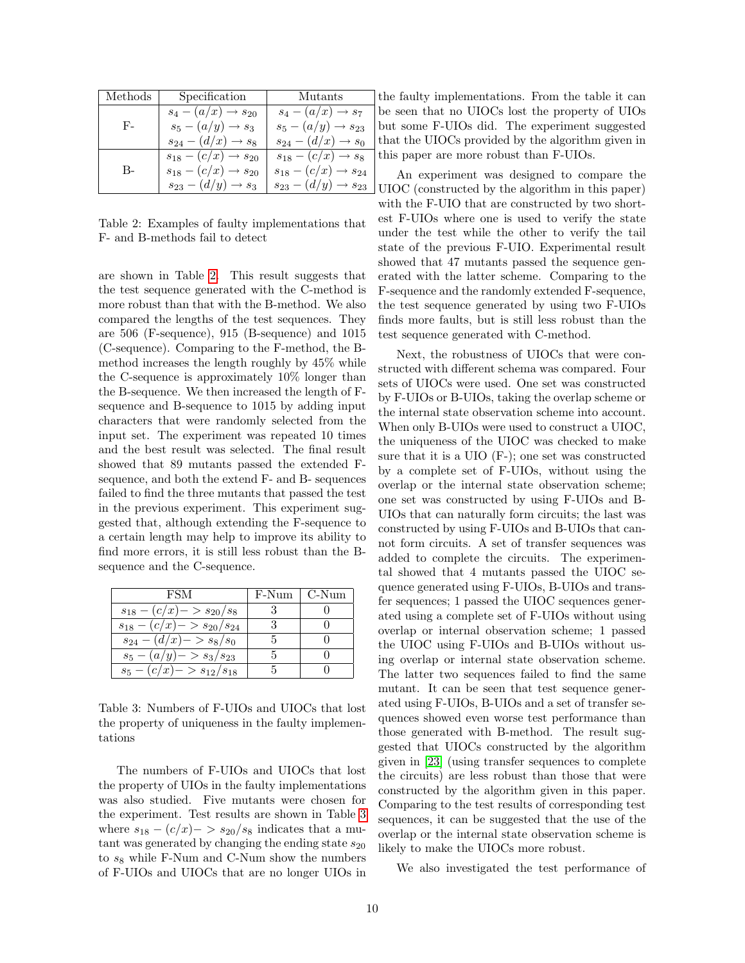| Methods | Specification                       | Mutants                             |
|---------|-------------------------------------|-------------------------------------|
|         | $s_4 - (a/x) \rightarrow s_{20}$    | $s_4 - (a/x) \rightarrow s_7$       |
| $F-$    | $s_5 - (a/y) \rightarrow s_3$       | $s_5 - (a/y) \rightarrow s_{23}$    |
|         | $s_{24} - (d/x) \rightarrow s_8$    | $s_{24} - (d/x) \to s_0$            |
|         | $s_{18} - (c/x) \rightarrow s_{20}$ | $s_{18}-(c/x)\rightarrow s_8$       |
| B-      | $s_{18} - (c/x) \rightarrow s_{20}$ | $s_{18} - (c/x) \rightarrow s_{24}$ |
|         | $s_{23} - (d/y) \to s_3$            | $s_{23} - (d/y) \rightarrow s_{23}$ |

<span id="page-9-0"></span>Table 2: Examples of faulty implementations that F- and B-methods fail to detect

are shown in Table [2.](#page-9-0) This result suggests that the test sequence generated with the C-method is more robust than that with the B-method. We also compared the lengths of the test sequences. They are 506 (F-sequence), 915 (B-sequence) and 1015 (C-sequence). Comparing to the F-method, the Bmethod increases the length roughly by 45% while the C-sequence is approximately 10% longer than the B-sequence. We then increased the length of Fsequence and B-sequence to 1015 by adding input characters that were randomly selected from the input set. The experiment was repeated 10 times and the best result was selected. The final result showed that 89 mutants passed the extended Fsequence, and both the extend F- and B- sequences failed to find the three mutants that passed the test in the previous experiment. This experiment suggested that, although extending the F-sequence to a certain length may help to improve its ability to find more errors, it is still less robust than the Bsequence and the C-sequence.

| <b>FSM</b>                                 | F-Num | ∣ C-Num |
|--------------------------------------------|-------|---------|
| $s_{18} - (c/x) \rightarrow s_{20}/s_8$    |       |         |
| $s_{18} - (c/x) \rightarrow s_{20}/s_{24}$ |       |         |
| $s_{24} - (d/x) \rightarrow s_8/s_0$       | 5     |         |
| $s_5 - (a/y) - \frac{1}{2}s_3$             | 5     |         |
| $s_5 - (c/x) \rightarrow s_{12}/s_{18}$    |       |         |

<span id="page-9-1"></span>Table 3: Numbers of F-UIOs and UIOCs that lost the property of uniqueness in the faulty implementations

The numbers of F-UIOs and UIOCs that lost the property of UIOs in the faulty implementations was also studied. Five mutants were chosen for the experiment. Test results are shown in Table [3](#page-9-1) where  $s_{18} - (c/x) \rightarrow s_{20}/s_8$  indicates that a mutant was generated by changing the ending state  $s_{20}$ to  $s_8$  while F-Num and C-Num show the numbers of F-UIOs and UIOCs that are no longer UIOs in the faulty implementations. From the table it can be seen that no UIOCs lost the property of UIOs but some F-UIOs did. The experiment suggested that the UIOCs provided by the algorithm given in this paper are more robust than F-UIOs.

An experiment was designed to compare the UIOC (constructed by the algorithm in this paper) with the F-UIO that are constructed by two shortest F-UIOs where one is used to verify the state under the test while the other to verify the tail state of the previous F-UIO. Experimental result showed that 47 mutants passed the sequence generated with the latter scheme. Comparing to the F-sequence and the randomly extended F-sequence, the test sequence generated by using two F-UIOs finds more faults, but is still less robust than the test sequence generated with C-method.

Next, the robustness of UIOCs that were constructed with different schema was compared. Four sets of UIOCs were used. One set was constructed by F-UIOs or B-UIOs, taking the overlap scheme or the internal state observation scheme into account. When only B-UIOs were used to construct a UIOC, the uniqueness of the UIOC was checked to make sure that it is a UIO (F-); one set was constructed by a complete set of F-UIOs, without using the overlap or the internal state observation scheme; one set was constructed by using F-UIOs and B-UIOs that can naturally form circuits; the last was constructed by using F-UIOs and B-UIOs that cannot form circuits. A set of transfer sequences was added to complete the circuits. The experimental showed that 4 mutants passed the UIOC sequence generated using F-UIOs, B-UIOs and transfer sequences; 1 passed the UIOC sequences generated using a complete set of F-UIOs without using overlap or internal observation scheme; 1 passed the UIOC using F-UIOs and B-UIOs without using overlap or internal state observation scheme. The latter two sequences failed to find the same mutant. It can be seen that test sequence generated using F-UIOs, B-UIOs and a set of transfer sequences showed even worse test performance than those generated with B-method. The result suggested that UIOCs constructed by the algorithm given in [\[23\]](#page-12-7) (using transfer sequences to complete the circuits) are less robust than those that were constructed by the algorithm given in this paper. Comparing to the test results of corresponding test sequences, it can be suggested that the use of the overlap or the internal state observation scheme is likely to make the UIOCs more robust.

We also investigated the test performance of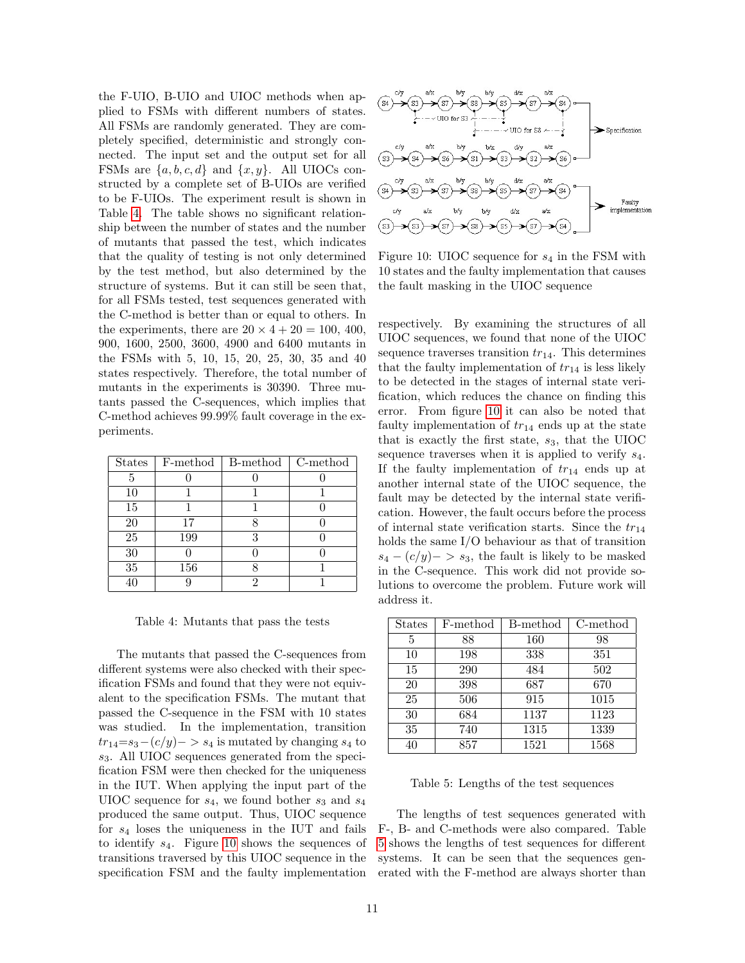the F-UIO, B-UIO and UIOC methods when applied to FSMs with different numbers of states. All FSMs are randomly generated. They are completely specified, deterministic and strongly connected. The input set and the output set for all FSMs are  $\{a, b, c, d\}$  and  $\{x, y\}$ . All UIOCs constructed by a complete set of B-UIOs are verified to be F-UIOs. The experiment result is shown in Table [4.](#page-10-0) The table shows no significant relationship between the number of states and the number of mutants that passed the test, which indicates that the quality of testing is not only determined by the test method, but also determined by the structure of systems. But it can still be seen that, for all FSMs tested, test sequences generated with the C-method is better than or equal to others. In the experiments, there are  $20 \times 4 + 20 = 100, 400$ , 900, 1600, 2500, 3600, 4900 and 6400 mutants in the FSMs with 5, 10, 15, 20, 25, 30, 35 and 40 states respectively. Therefore, the total number of mutants in the experiments is 30390. Three mutants passed the C-sequences, which implies that C-method achieves 99.99% fault coverage in the experiments.

| <b>States</b>   | F-method |   | B-method   C-method |
|-----------------|----------|---|---------------------|
| 5               |          |   |                     |
| 10              |          |   |                     |
| 15              |          |   |                     |
| 20              | 17       |   |                     |
| $25\,$          | 199      | ๑ |                     |
| $30\,$          |          |   |                     |
| $\overline{35}$ | 156      |   |                     |
|                 |          |   |                     |

<span id="page-10-0"></span>Table 4: Mutants that pass the tests

The mutants that passed the C-sequences from different systems were also checked with their specification FSMs and found that they were not equivalent to the specification FSMs. The mutant that passed the C-sequence in the FSM with 10 states was studied. In the implementation, transition  $tr_{14}=s_3-(c/y)-s_4$  is mutated by changing  $s_4$  to  $s<sub>3</sub>$ . All UIOC sequences generated from the specification FSM were then checked for the uniqueness in the IUT. When applying the input part of the UIOC sequence for  $s_4$ , we found bother  $s_3$  and  $s_4$ produced the same output. Thus, UIOC sequence for  $s_4$  loses the uniqueness in the IUT and fails to identify  $s_4$ . Figure [10](#page-10-1) shows the sequences of transitions traversed by this UIOC sequence in the specification FSM and the faulty implementation



<span id="page-10-1"></span>Figure 10: UIOC sequence for  $s_4$  in the FSM with 10 states and the faulty implementation that causes the fault masking in the UIOC sequence

respectively. By examining the structures of all UIOC sequences, we found that none of the UIOC sequence traverses transition  $tr_{14}$ . This determines that the faulty implementation of  $tr_{14}$  is less likely to be detected in the stages of internal state verification, which reduces the chance on finding this error. From figure [10](#page-10-1) it can also be noted that faulty implementation of  $tr_{14}$  ends up at the state that is exactly the first state,  $s_3$ , that the UIOC sequence traverses when it is applied to verify  $s_4$ . If the faulty implementation of  $tr_{14}$  ends up at another internal state of the UIOC sequence, the fault may be detected by the internal state verification. However, the fault occurs before the process of internal state verification starts. Since the  $tr_{14}$ holds the same I/O behaviour as that of transition  $s_4 - (c/y) \rightarrow s_3$ , the fault is likely to be masked in the C-sequence. This work did not provide solutions to overcome the problem. Future work will address it.

| <b>States</b> | $F$ -method | B-method | C-method |
|---------------|-------------|----------|----------|
| 5             | 88          | 160      | 98       |
| 10            | 198         | 338      | 351      |
| 15            | 290         | 484      | 502      |
| 20            | 398         | 687      | 670      |
| 25            | 506         | 915      | 1015     |
| 30            | 684         | 1137     | 1123     |
| 35            | 740         | 1315     | 1339     |
| 40            | 857         | 1521     | 1568     |

<span id="page-10-2"></span>Table 5: Lengths of the test sequences

The lengths of test sequences generated with F-, B- and C-methods were also compared. Table [5](#page-10-2) shows the lengths of test sequences for different systems. It can be seen that the sequences generated with the F-method are always shorter than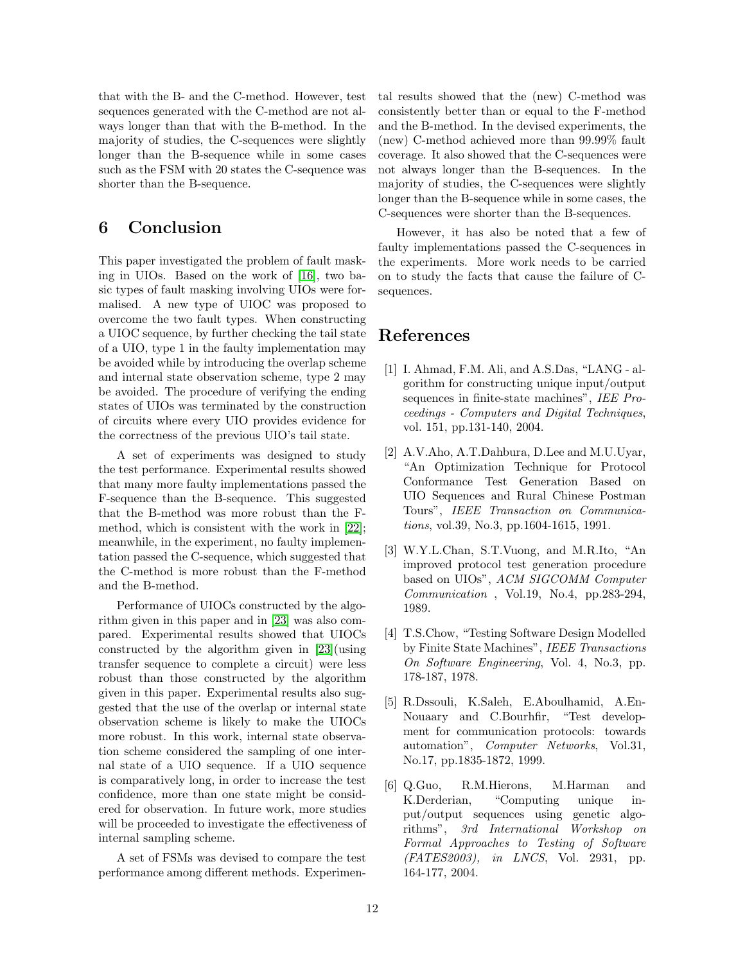that with the B- and the C-method. However, test sequences generated with the C-method are not always longer than that with the B-method. In the majority of studies, the C-sequences were slightly longer than the B-sequence while in some cases such as the FSM with 20 states the C-sequence was shorter than the B-sequence.

## <span id="page-11-3"></span>6 Conclusion

This paper investigated the problem of fault masking in UIOs. Based on the work of [\[16\]](#page-12-17), two basic types of fault masking involving UIOs were formalised. A new type of UIOC was proposed to overcome the two fault types. When constructing a UIOC sequence, by further checking the tail state of a UIO, type 1 in the faulty implementation may be avoided while by introducing the overlap scheme and internal state observation scheme, type 2 may be avoided. The procedure of verifying the ending states of UIOs was terminated by the construction of circuits where every UIO provides evidence for the correctness of the previous UIO's tail state.

A set of experiments was designed to study the test performance. Experimental results showed that many more faulty implementations passed the F-sequence than the B-sequence. This suggested that the B-method was more robust than the Fmethod, which is consistent with the work in [\[22\]](#page-12-6); meanwhile, in the experiment, no faulty implementation passed the C-sequence, which suggested that the C-method is more robust than the F-method and the B-method.

Performance of UIOCs constructed by the algorithm given in this paper and in [\[23\]](#page-12-7) was also compared. Experimental results showed that UIOCs constructed by the algorithm given in [\[23\]](#page-12-7)(using transfer sequence to complete a circuit) were less robust than those constructed by the algorithm given in this paper. Experimental results also suggested that the use of the overlap or internal state observation scheme is likely to make the UIOCs more robust. In this work, internal state observation scheme considered the sampling of one internal state of a UIO sequence. If a UIO sequence is comparatively long, in order to increase the test confidence, more than one state might be considered for observation. In future work, more studies will be proceeded to investigate the effectiveness of internal sampling scheme.

A set of FSMs was devised to compare the test performance among different methods. Experimental results showed that the (new) C-method was consistently better than or equal to the F-method and the B-method. In the devised experiments, the (new) C-method achieved more than 99.99% fault coverage. It also showed that the C-sequences were not always longer than the B-sequences. In the majority of studies, the C-sequences were slightly longer than the B-sequence while in some cases, the C-sequences were shorter than the B-sequences.

However, it has also be noted that a few of faulty implementations passed the C-sequences in the experiments. More work needs to be carried on to study the facts that cause the failure of Csequences.

### References

- [1] I. Ahmad, F.M. Ali, and A.S.Das, "LANG algorithm for constructing unique input/output sequences in finite-state machines", IEE Proceedings - Computers and Digital Techniques, vol. 151, pp.131-140, 2004.
- <span id="page-11-0"></span>[2] A.V.Aho, A.T.Dahbura, D.Lee and M.U.Uyar, "An Optimization Technique for Protocol Conformance Test Generation Based on UIO Sequences and Rural Chinese Postman Tours", IEEE Transaction on Communications, vol.39, No.3, pp.1604-1615, 1991.
- <span id="page-11-1"></span>[3] W.Y.L.Chan, S.T.Vuong, and M.R.Ito, "An improved protocol test generation procedure based on UIOs", ACM SIGCOMM Computer Communication , Vol.19, No.4, pp.283-294, 1989.
- <span id="page-11-2"></span>[4] T.S.Chow, "Testing Software Design Modelled by Finite State Machines", IEEE Transactions On Software Engineering, Vol. 4, No.3, pp. 178-187, 1978.
- [5] R.Dssouli, K.Saleh, E.Aboulhamid, A.En-Nouaary and C.Bourhfir, "Test development for communication protocols: towards automation", Computer Networks, Vol.31, No.17, pp.1835-1872, 1999.
- <span id="page-11-4"></span>[6] Q.Guo, R.M.Hierons, M.Harman and K.Derderian, "Computing unique input/output sequences using genetic algorithms", 3rd International Workshop on Formal Approaches to Testing of Software (FATES2003), in LNCS, Vol. 2931, pp. 164-177, 2004.